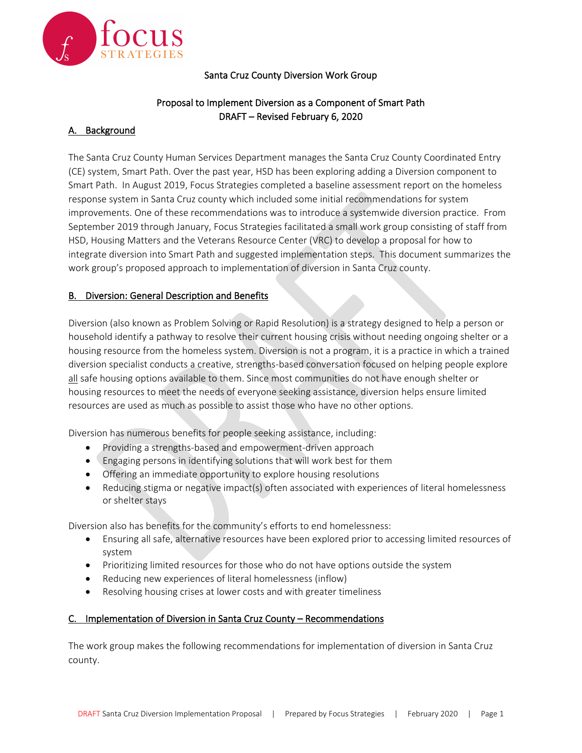

### Santa Cruz County Diversion Work Group

# Proposal to Implement Diversion as a Component of Smart Path DRAFT – Revised February 6, 2020

# A. Background

The Santa Cruz County Human Services Department manages the Santa Cruz County Coordinated Entry (CE) system, Smart Path. Over the past year, HSD has been exploring adding a Diversion component to Smart Path. In August 2019, Focus Strategies completed a baseline assessment report on the homeless response system in Santa Cruz county which included some initial recommendations for system improvements. One of these recommendations was to introduce a systemwide diversion practice. From September 2019 through January, Focus Strategies facilitated a small work group consisting of staff from HSD, Housing Matters and the Veterans Resource Center (VRC) to develop a proposal for how to integrate diversion into Smart Path and suggested implementation steps. This document summarizes the work group's proposed approach to implementation of diversion in Santa Cruz county.

### B. Diversion: General Description and Benefits

Diversion (also known as Problem Solving or Rapid Resolution) is a strategy designed to help a person or household identify a pathway to resolve their current housing crisis without needing ongoing shelter or a housing resource from the homeless system. Diversion is not a program, it is a practice in which a trained diversion specialist conducts a creative, strengths-based conversation focused on helping people explore all safe housing options available to them. Since most communities do not have enough shelter or housing resources to meet the needs of everyone seeking assistance, diversion helps ensure limited resources are used as much as possible to assist those who have no other options.

Diversion has numerous benefits for people seeking assistance, including:

- Providing a strengths-based and empowerment-driven approach
- Engaging persons in identifying solutions that will work best for them
- Offering an immediate opportunity to explore housing resolutions
- Reducing stigma or negative impact(s) often associated with experiences of literal homelessness or shelter stays

Diversion also has benefits for the community's efforts to end homelessness:

- Ensuring all safe, alternative resources have been explored prior to accessing limited resources of system
- Prioritizing limited resources for those who do not have options outside the system
- Reducing new experiences of literal homelessness (inflow)
- Resolving housing crises at lower costs and with greater timeliness

### C. Implementation of Diversion in Santa Cruz County – Recommendations

The work group makes the following recommendations for implementation of diversion in Santa Cruz county.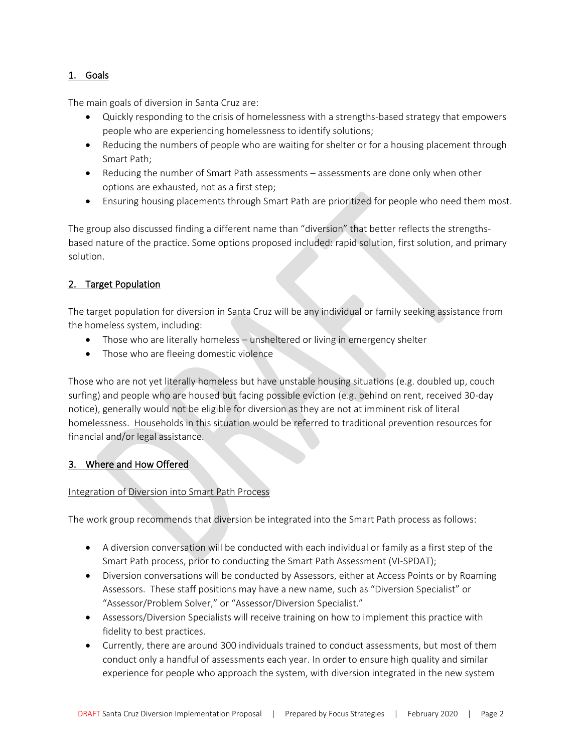### 1. Goals

The main goals of diversion in Santa Cruz are:

- Quickly responding to the crisis of homelessness with a strengths-based strategy that empowers people who are experiencing homelessness to identify solutions;
- Reducing the numbers of people who are waiting for shelter or for a housing placement through Smart Path;
- Reducing the number of Smart Path assessments assessments are done only when other options are exhausted, not as a first step;
- Ensuring housing placements through Smart Path are prioritized for people who need them most.

The group also discussed finding a different name than "diversion" that better reflects the strengthsbased nature of the practice. Some options proposed included: rapid solution, first solution, and primary solution.

### 2. Target Population

The target population for diversion in Santa Cruz will be any individual or family seeking assistance from the homeless system, including:

- Those who are literally homeless unsheltered or living in emergency shelter
- Those who are fleeing domestic violence

Those who are not yet literally homeless but have unstable housing situations (e.g. doubled up, couch surfing) and people who are housed but facing possible eviction (e.g. behind on rent, received 30-day notice), generally would not be eligible for diversion as they are not at imminent risk of literal homelessness. Households in this situation would be referred to traditional prevention resources for financial and/or legal assistance.

### 3. Where and How Offered

### Integration of Diversion into Smart Path Process

The work group recommends that diversion be integrated into the Smart Path process as follows:

- A diversion conversation will be conducted with each individual or family as a first step of the Smart Path process, prior to conducting the Smart Path Assessment (VI-SPDAT);
- Diversion conversations will be conducted by Assessors, either at Access Points or by Roaming Assessors. These staff positions may have a new name, such as "Diversion Specialist" or "Assessor/Problem Solver," or "Assessor/Diversion Specialist."
- Assessors/Diversion Specialists will receive training on how to implement this practice with fidelity to best practices.
- Currently, there are around 300 individuals trained to conduct assessments, but most of them conduct only a handful of assessments each year. In order to ensure high quality and similar experience for people who approach the system, with diversion integrated in the new system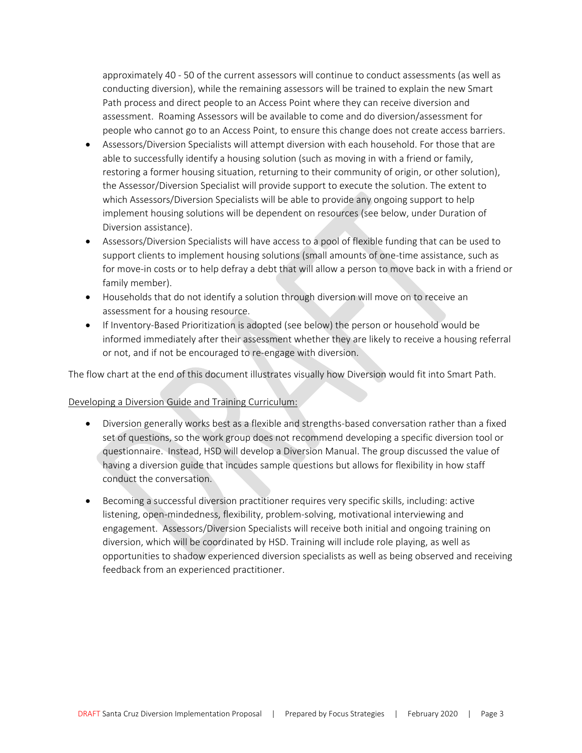approximately 40 - 50 of the current assessors will continue to conduct assessments (as well as conducting diversion), while the remaining assessors will be trained to explain the new Smart Path process and direct people to an Access Point where they can receive diversion and assessment. Roaming Assessors will be available to come and do diversion/assessment for people who cannot go to an Access Point, to ensure this change does not create access barriers.

- Assessors/Diversion Specialists will attempt diversion with each household. For those that are able to successfully identify a housing solution (such as moving in with a friend or family, restoring a former housing situation, returning to their community of origin, or other solution), the Assessor/Diversion Specialist will provide support to execute the solution. The extent to which Assessors/Diversion Specialists will be able to provide any ongoing support to help implement housing solutions will be dependent on resources (see below, under Duration of Diversion assistance).
- Assessors/Diversion Specialists will have access to a pool of flexible funding that can be used to support clients to implement housing solutions (small amounts of one-time assistance, such as for move-in costs or to help defray a debt that will allow a person to move back in with a friend or family member).
- Households that do not identify a solution through diversion will move on to receive an assessment for a housing resource.
- If Inventory-Based Prioritization is adopted (see below) the person or household would be informed immediately after their assessment whether they are likely to receive a housing referral or not, and if not be encouraged to re-engage with diversion.

The flow chart at the end of this document illustrates visually how Diversion would fit into Smart Path.

#### Developing a Diversion Guide and Training Curriculum:

- Diversion generally works best as a flexible and strengths-based conversation rather than a fixed set of questions, so the work group does not recommend developing a specific diversion tool or questionnaire. Instead, HSD will develop a Diversion Manual. The group discussed the value of having a diversion guide that incudes sample questions but allows for flexibility in how staff conduct the conversation.
- Becoming a successful diversion practitioner requires very specific skills, including: active listening, open-mindedness, flexibility, problem-solving, motivational interviewing and engagement. Assessors/Diversion Specialists will receive both initial and ongoing training on diversion, which will be coordinated by HSD. Training will include role playing, as well as opportunities to shadow experienced diversion specialists as well as being observed and receiving feedback from an experienced practitioner.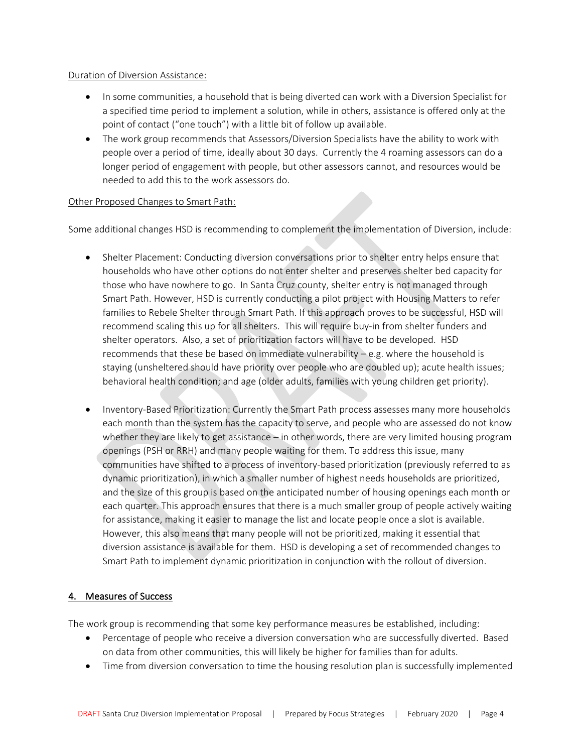#### Duration of Diversion Assistance:

- In some communities, a household that is being diverted can work with a Diversion Specialist for a specified time period to implement a solution, while in others, assistance is offered only at the point of contact ("one touch") with a little bit of follow up available.
- The work group recommends that Assessors/Diversion Specialists have the ability to work with people over a period of time, ideally about 30 days. Currently the 4 roaming assessors can do a longer period of engagement with people, but other assessors cannot, and resources would be needed to add this to the work assessors do.

### Other Proposed Changes to Smart Path:

Some additional changes HSD is recommending to complement the implementation of Diversion, include:

- Shelter Placement: Conducting diversion conversations prior to shelter entry helps ensure that households who have other options do not enter shelter and preserves shelter bed capacity for those who have nowhere to go. In Santa Cruz county, shelter entry is not managed through Smart Path. However, HSD is currently conducting a pilot project with Housing Matters to refer families to Rebele Shelter through Smart Path. If this approach proves to be successful, HSD will recommend scaling this up for all shelters. This will require buy-in from shelter funders and shelter operators. Also, a set of prioritization factors will have to be developed. HSD recommends that these be based on immediate vulnerability – e.g. where the household is staying (unsheltered should have priority over people who are doubled up); acute health issues; behavioral health condition; and age (older adults, families with young children get priority).
- Inventory-Based Prioritization: Currently the Smart Path process assesses many more households each month than the system has the capacity to serve, and people who are assessed do not know whether they are likely to get assistance – in other words, there are very limited housing program openings (PSH or RRH) and many people waiting for them. To address this issue, many communities have shifted to a process of inventory-based prioritization (previously referred to as dynamic prioritization), in which a smaller number of highest needs households are prioritized, and the size of this group is based on the anticipated number of housing openings each month or each quarter. This approach ensures that there is a much smaller group of people actively waiting for assistance, making it easier to manage the list and locate people once a slot is available. However, this also means that many people will not be prioritized, making it essential that diversion assistance is available for them. HSD is developing a set of recommended changes to Smart Path to implement dynamic prioritization in conjunction with the rollout of diversion.

### 4. Measures of Success

The work group is recommending that some key performance measures be established, including:

- Percentage of people who receive a diversion conversation who are successfully diverted. Based on data from other communities, this will likely be higher for families than for adults.
- Time from diversion conversation to time the housing resolution plan is successfully implemented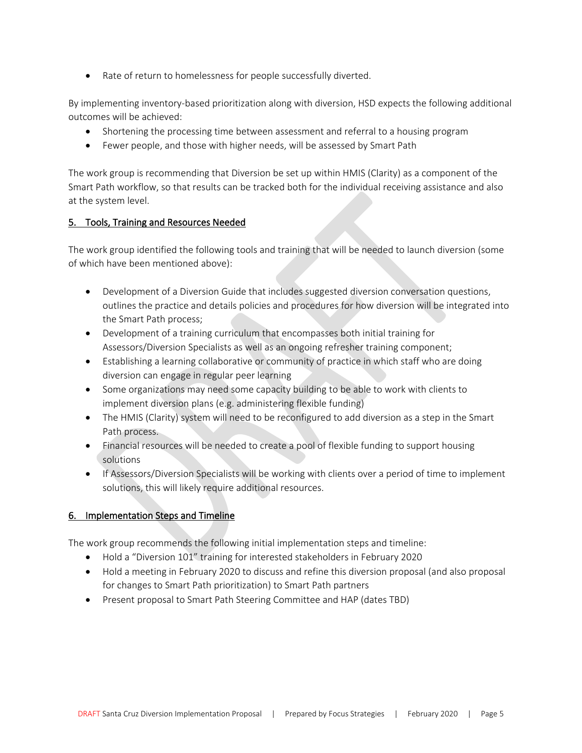• Rate of return to homelessness for people successfully diverted.

By implementing inventory-based prioritization along with diversion, HSD expects the following additional outcomes will be achieved:

- Shortening the processing time between assessment and referral to a housing program
- Fewer people, and those with higher needs, will be assessed by Smart Path

The work group is recommending that Diversion be set up within HMIS (Clarity) as a component of the Smart Path workflow, so that results can be tracked both for the individual receiving assistance and also at the system level.

### 5. Tools, Training and Resources Needed

The work group identified the following tools and training that will be needed to launch diversion (some of which have been mentioned above):

- Development of a Diversion Guide that includes suggested diversion conversation questions, outlines the practice and details policies and procedures for how diversion will be integrated into the Smart Path process;
- Development of a training curriculum that encompasses both initial training for Assessors/Diversion Specialists as well as an ongoing refresher training component;
- Establishing a learning collaborative or community of practice in which staff who are doing diversion can engage in regular peer learning
- Some organizations may need some capacity building to be able to work with clients to implement diversion plans (e.g. administering flexible funding)
- The HMIS (Clarity) system will need to be reconfigured to add diversion as a step in the Smart Path process.
- Financial resources will be needed to create a pool of flexible funding to support housing solutions
- If Assessors/Diversion Specialists will be working with clients over a period of time to implement solutions, this will likely require additional resources.

## 6. Implementation Steps and Timeline

The work group recommends the following initial implementation steps and timeline:

- Hold a "Diversion 101" training for interested stakeholders in February 2020
- Hold a meeting in February 2020 to discuss and refine this diversion proposal (and also proposal for changes to Smart Path prioritization) to Smart Path partners
- Present proposal to Smart Path Steering Committee and HAP (dates TBD)